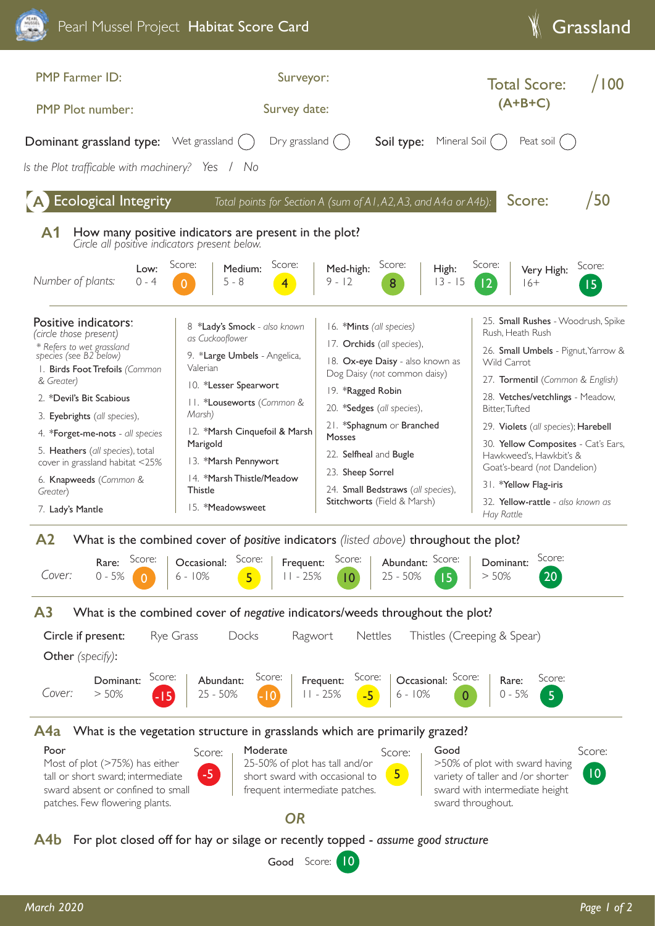